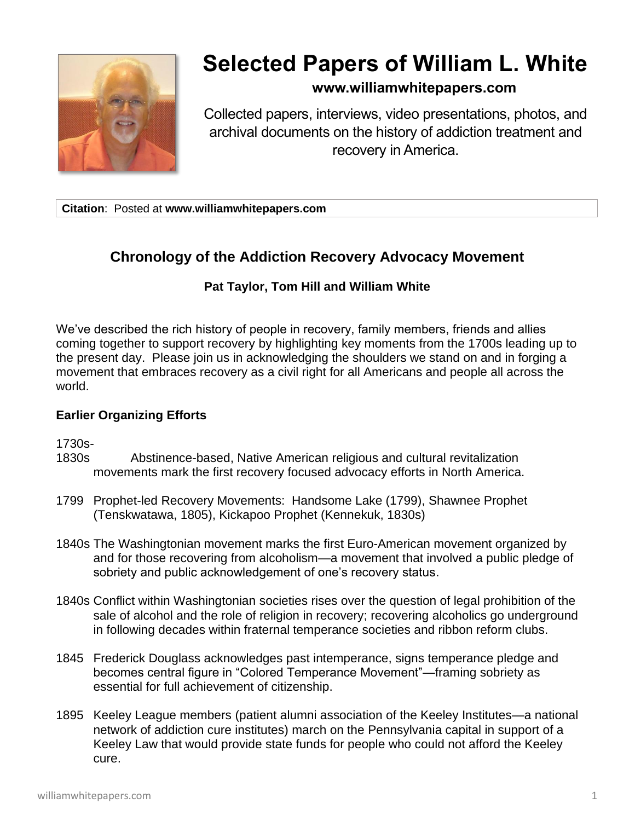

# **Selected Papers of William L. White**

## **www.williamwhitepapers.com**

Collected papers, interviews, video presentations, photos, and archival documents on the history of addiction treatment and recovery in America.

**Citation**: Posted at **www.williamwhitepapers.com**

## **Chronology of the Addiction Recovery Advocacy Movement**

### **Pat Taylor, Tom Hill and William White**

We've described the rich history of people in recovery, family members, friends and allies coming together to support recovery by highlighting key moments from the 1700s leading up to the present day. Please join us in acknowledging the shoulders we stand on and in forging a movement that embraces recovery as a civil right for all Americans and people all across the world.

#### **Earlier Organizing Efforts**

1730s-

- 1830s Abstinence-based, Native American religious and cultural revitalization movements mark the first recovery focused advocacy efforts in North America.
- 1799 Prophet-led Recovery Movements: Handsome Lake (1799), Shawnee Prophet (Tenskwatawa, 1805), Kickapoo Prophet (Kennekuk, 1830s)
- 1840s The Washingtonian movement marks the first Euro-American movement organized by and for those recovering from alcoholism—a movement that involved a public pledge of sobriety and public acknowledgement of one's recovery status.
- 1840s Conflict within Washingtonian societies rises over the question of legal prohibition of the sale of alcohol and the role of religion in recovery; recovering alcoholics go underground in following decades within fraternal temperance societies and ribbon reform clubs.
- 1845 Frederick Douglass acknowledges past intemperance, signs temperance pledge and becomes central figure in "Colored Temperance Movement"—framing sobriety as essential for full achievement of citizenship.
- 1895 Keeley League members (patient alumni association of the Keeley Institutes—a national network of addiction cure institutes) march on the Pennsylvania capital in support of a Keeley Law that would provide state funds for people who could not afford the Keeley cure.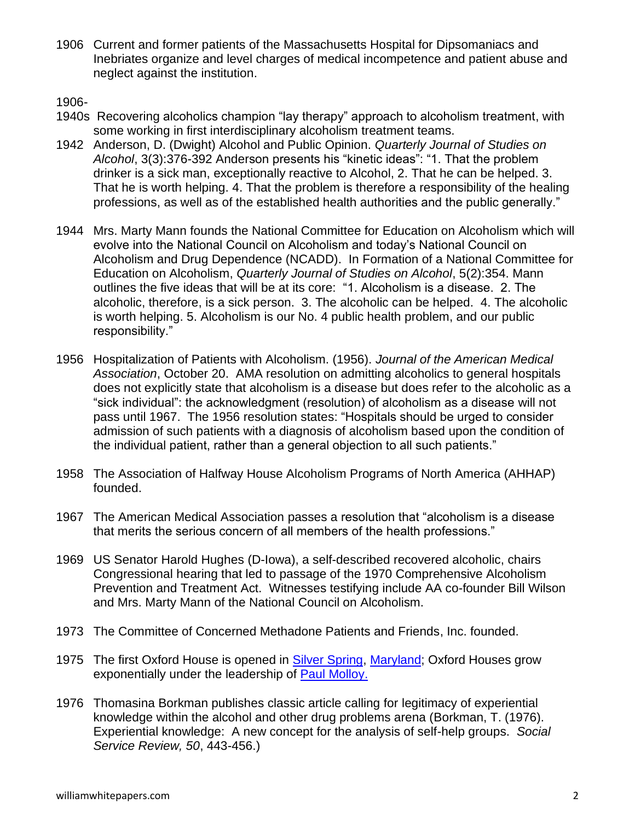1906 Current and former patients of the Massachusetts Hospital for Dipsomaniacs and Inebriates organize and level charges of medical incompetence and patient abuse and neglect against the institution.

1906-

- 1940s Recovering alcoholics champion "lay therapy" approach to alcoholism treatment, with some working in first interdisciplinary alcoholism treatment teams.
- 1942 Anderson, D. (Dwight) Alcohol and Public Opinion. *Quarterly Journal of Studies on Alcohol*, 3(3):376-392 Anderson presents his "kinetic ideas": "1. That the problem drinker is a sick man, exceptionally reactive to Alcohol, 2. That he can be helped. 3. That he is worth helping. 4. That the problem is therefore a responsibility of the healing professions, as well as of the established health authorities and the public generally."
- 1944 Mrs. Marty Mann founds the National Committee for Education on Alcoholism which will evolve into the National Council on Alcoholism and today's National Council on Alcoholism and Drug Dependence (NCADD). In Formation of a National Committee for Education on Alcoholism, *Quarterly Journal of Studies on Alcohol*, 5(2):354. Mann outlines the five ideas that will be at its core: "1. Alcoholism is a disease. 2. The alcoholic, therefore, is a sick person. 3. The alcoholic can be helped. 4. The alcoholic is worth helping. 5. Alcoholism is our No. 4 public health problem, and our public responsibility."
- 1956 Hospitalization of Patients with Alcoholism. (1956). *Journal of the American Medical Association*, October 20. AMA resolution on admitting alcoholics to general hospitals does not explicitly state that alcoholism is a disease but does refer to the alcoholic as a "sick individual": the acknowledgment (resolution) of alcoholism as a disease will not pass until 1967. The 1956 resolution states: "Hospitals should be urged to consider admission of such patients with a diagnosis of alcoholism based upon the condition of the individual patient, rather than a general objection to all such patients."
- 1958 The Association of Halfway House Alcoholism Programs of North America (AHHAP) founded.
- 1967 The American Medical Association passes a resolution that "alcoholism is a disease that merits the serious concern of all members of the health professions."
- 1969 US Senator Harold Hughes (D-Iowa), a self-described recovered alcoholic, chairs Congressional hearing that led to passage of the 1970 Comprehensive Alcoholism Prevention and Treatment Act. Witnesses testifying include AA co-founder Bill Wilson and Mrs. Marty Mann of the National Council on Alcoholism.
- 1973 The Committee of Concerned Methadone Patients and Friends, Inc. founded.
- 1975 The first Oxford House is opened in [Silver Spring,](http://en.wikipedia.org/wiki/Silver_Spring,_Maryland) [Maryland;](http://en.wikipedia.org/wiki/Maryland) Oxford Houses grow exponentially under the leadership of [Paul Molloy.](http://en.wikipedia.org/w/index.php?title=Paul_Molloy&action=edit&redlink=1)
- 1976 Thomasina Borkman publishes classic article calling for legitimacy of experiential knowledge within the alcohol and other drug problems arena (Borkman, T. (1976). Experiential knowledge: A new concept for the analysis of self-help groups. *Social Service Review, 50*, 443-456.)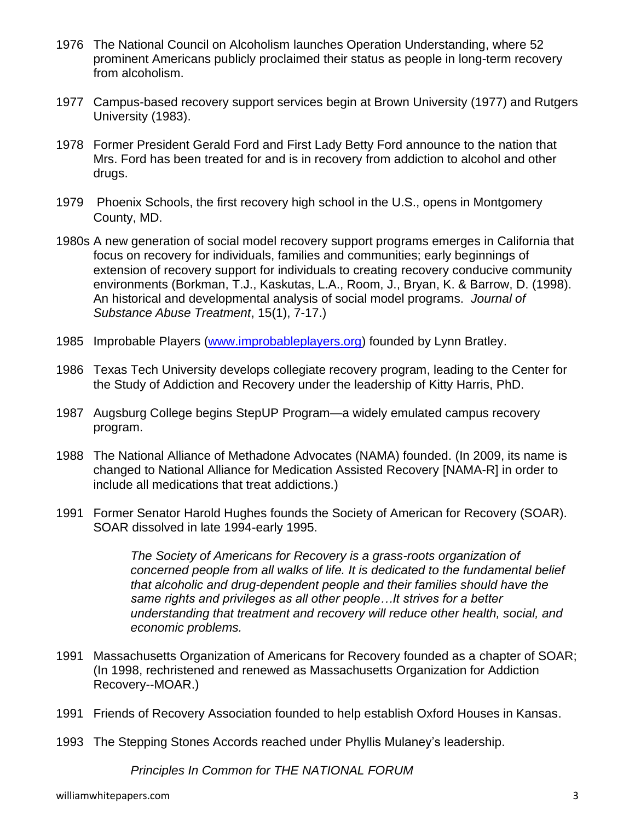- 1976 The National Council on Alcoholism launches Operation Understanding, where 52 prominent Americans publicly proclaimed their status as people in long-term recovery from alcoholism.
- 1977 Campus-based recovery support services begin at Brown University (1977) and Rutgers University (1983).
- 1978 Former President Gerald Ford and First Lady Betty Ford announce to the nation that Mrs. Ford has been treated for and is in recovery from addiction to alcohol and other drugs.
- 1979 Phoenix Schools, the first recovery high school in the U.S., opens in Montgomery County, MD.
- 1980s A new generation of social model recovery support programs emerges in California that focus on recovery for individuals, families and communities; early beginnings of extension of recovery support for individuals to creating recovery conducive community environments (Borkman, T.J., Kaskutas, L.A., Room, J., Bryan, K. & Barrow, D. (1998). An historical and developmental analysis of social model programs. *Journal of Substance Abuse Treatment*, 15(1), 7-17.)
- 1985 Improbable Players [\(www.improbableplayers.org\)](http://www.improbableplayers.org/) founded by Lynn Bratley.
- 1986 Texas Tech University develops collegiate recovery program, leading to the Center for the Study of Addiction and Recovery under the leadership of Kitty Harris, PhD.
- 1987 Augsburg College begins StepUP Program—a widely emulated campus recovery program.
- 1988 The National Alliance of Methadone Advocates (NAMA) founded. (In 2009, its name is changed to National Alliance for Medication Assisted Recovery [NAMA-R] in order to include all medications that treat addictions.)
- 1991 Former Senator Harold Hughes founds the Society of American for Recovery (SOAR). SOAR dissolved in late 1994-early 1995.

*The Society of Americans for Recovery is a grass-roots organization of concerned people from all walks of life. It is dedicated to the fundamental belief that alcoholic and drug-dependent people and their families should have the same rights and privileges as all other people…It strives for a better understanding that treatment and recovery will reduce other health, social, and economic problems.*

- 1991 Massachusetts Organization of Americans for Recovery founded as a chapter of SOAR; (In 1998, rechristened and renewed as Massachusetts Organization for Addiction Recovery--MOAR.)
- 1991 Friends of Recovery Association founded to help establish Oxford Houses in Kansas.
- 1993 The Stepping Stones Accords reached under Phyllis Mulaney's leadership.

*Principles In Common for THE NATIONAL FORUM*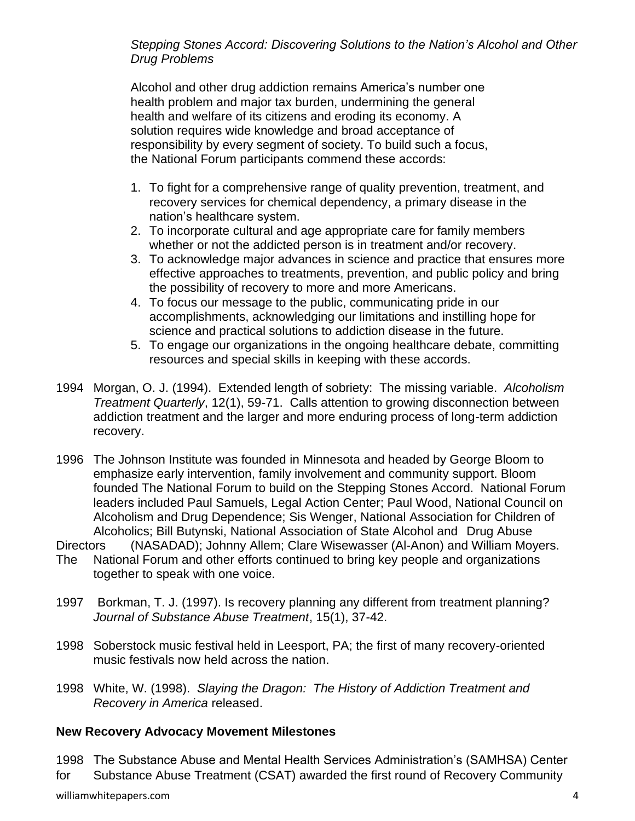*Stepping Stones Accord: Discovering Solutions to the Nation's Alcohol and Other Drug Problems*

Alcohol and other drug addiction remains America's number one health problem and major tax burden, undermining the general health and welfare of its citizens and eroding its economy. A solution requires wide knowledge and broad acceptance of responsibility by every segment of society. To build such a focus, the National Forum participants commend these accords:

- 1. To fight for a comprehensive range of quality prevention, treatment, and recovery services for chemical dependency, a primary disease in the nation's healthcare system.
- 2. To incorporate cultural and age appropriate care for family members whether or not the addicted person is in treatment and/or recovery.
- 3. To acknowledge major advances in science and practice that ensures more effective approaches to treatments, prevention, and public policy and bring the possibility of recovery to more and more Americans.
- 4. To focus our message to the public, communicating pride in our accomplishments, acknowledging our limitations and instilling hope for science and practical solutions to addiction disease in the future.
- 5. To engage our organizations in the ongoing healthcare debate, committing resources and special skills in keeping with these accords.
- 1994 Morgan, O. J. (1994). Extended length of sobriety: The missing variable. *Alcoholism Treatment Quarterly*, 12(1), 59-71. Calls attention to growing disconnection between addiction treatment and the larger and more enduring process of long-term addiction recovery.
- 1996 The Johnson Institute was founded in Minnesota and headed by George Bloom to emphasize early intervention, family involvement and community support. Bloom founded The National Forum to build on the Stepping Stones Accord. National Forum leaders included Paul Samuels, Legal Action Center; Paul Wood, National Council on Alcoholism and Drug Dependence; Sis Wenger, National Association for Children of Alcoholics; Bill Butynski, National Association of State Alcohol and Drug Abuse
- Directors (NASADAD); Johnny Allem; Clare Wisewasser (Al-Anon) and William Moyers.
- The National Forum and other efforts continued to bring key people and organizations together to speak with one voice.
- 1997 Borkman, T. J. (1997). Is recovery planning any different from treatment planning? *Journal of Substance Abuse Treatment*, 15(1), 37-42.
- 1998 Soberstock music festival held in Leesport, PA; the first of many recovery-oriented music festivals now held across the nation.
- 1998 White, W. (1998). *Slaying the Dragon: The History of Addiction Treatment and Recovery in America* released.

#### **New Recovery Advocacy Movement Milestones**

1998 The Substance Abuse and Mental Health Services Administration's (SAMHSA) Center for Substance Abuse Treatment (CSAT) awarded the first round of Recovery Community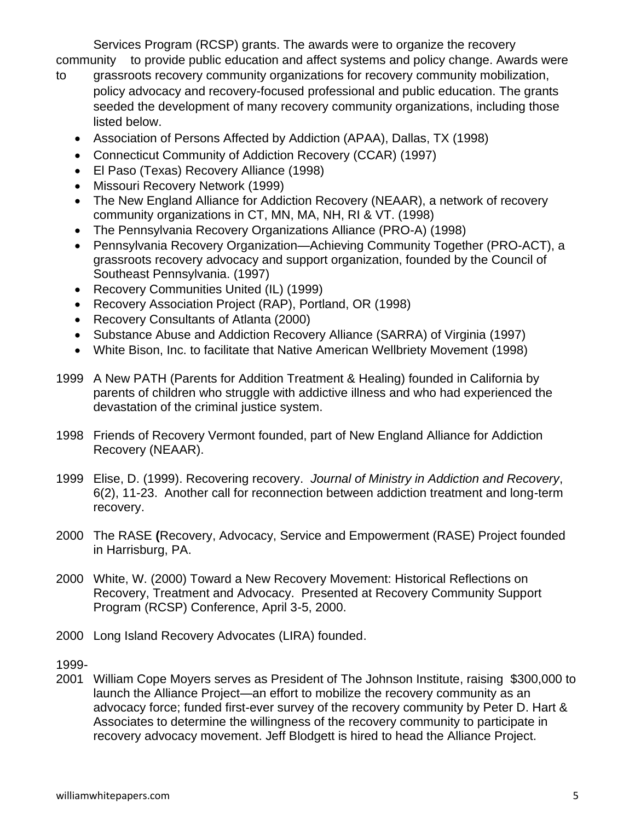Services Program (RCSP) grants. The awards were to organize the recovery community to provide public education and affect systems and policy change. Awards were

- to grassroots recovery community organizations for recovery community mobilization, policy advocacy and recovery-focused professional and public education. The grants seeded the development of many recovery community organizations, including those listed below.
	- Association of Persons Affected by Addiction (APAA), Dallas, TX (1998)
	- Connecticut Community of Addiction Recovery (CCAR) (1997)
	- El Paso (Texas) Recovery Alliance (1998)
	- Missouri Recovery Network (1999)
	- The New England Alliance for Addiction Recovery (NEAAR), a network of recovery community organizations in CT, MN, MA, NH, RI & VT. (1998)
	- The Pennsylvania Recovery Organizations Alliance (PRO-A) (1998)
	- Pennsylvania Recovery Organization—Achieving Community Together (PRO-ACT), a grassroots recovery advocacy and support organization, founded by the Council of Southeast Pennsylvania. (1997)
	- Recovery Communities United (IL) (1999)
	- Recovery Association Project (RAP), Portland, OR (1998)
	- Recovery Consultants of Atlanta (2000)
	- Substance Abuse and Addiction Recovery Alliance (SARRA) of Virginia (1997)
	- White Bison, Inc. to facilitate that Native American Wellbriety Movement (1998)
- 1999 A New PATH (Parents for Addition Treatment & Healing) founded in California by parents of children who struggle with addictive illness and who had experienced the devastation of the criminal justice system.
- 1998 Friends of Recovery Vermont founded, part of New England Alliance for Addiction Recovery (NEAAR).
- 1999 Elise, D. (1999). Recovering recovery. *Journal of Ministry in Addiction and Recovery*, 6(2), 11-23. Another call for reconnection between addiction treatment and long-term recovery.
- 2000 The RASE **(**Recovery, Advocacy, Service and Empowerment (RASE) Project founded in Harrisburg, PA.
- 2000 White, W. (2000) Toward a New Recovery Movement: Historical Reflections on Recovery, Treatment and Advocacy. Presented at Recovery Community Support Program (RCSP) Conference, April 3-5, 2000.
- 2000 Long Island Recovery Advocates (LIRA) founded.

1999-

2001 William Cope Moyers serves as President of The Johnson Institute, raising \$300,000 to launch the Alliance Project—an effort to mobilize the recovery community as an advocacy force; funded first-ever survey of the recovery community by Peter D. Hart & Associates to determine the willingness of the recovery community to participate in recovery advocacy movement. Jeff Blodgett is hired to head the Alliance Project.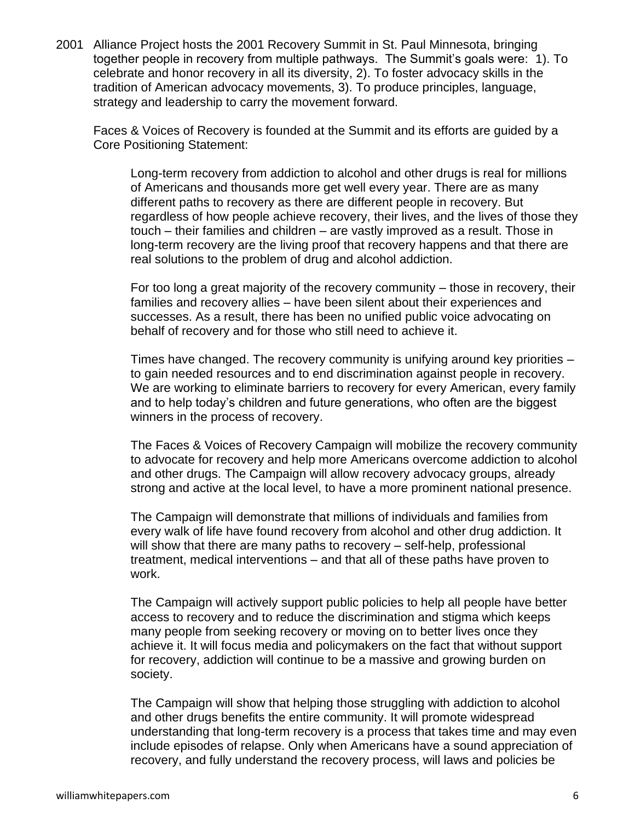2001 Alliance Project hosts the 2001 Recovery Summit in St. Paul Minnesota, bringing together people in recovery from multiple pathways. The Summit's goals were: 1). To celebrate and honor recovery in all its diversity, 2). To foster advocacy skills in the tradition of American advocacy movements, 3). To produce principles, language, strategy and leadership to carry the movement forward.

Faces & Voices of Recovery is founded at the Summit and its efforts are guided by a Core Positioning Statement:

Long-term recovery from addiction to alcohol and other drugs is real for millions of Americans and thousands more get well every year. There are as many different paths to recovery as there are different people in recovery. But regardless of how people achieve recovery, their lives, and the lives of those they touch – their families and children – are vastly improved as a result. Those in long-term recovery are the living proof that recovery happens and that there are real solutions to the problem of drug and alcohol addiction.

For too long a great majority of the recovery community – those in recovery, their families and recovery allies – have been silent about their experiences and successes. As a result, there has been no unified public voice advocating on behalf of recovery and for those who still need to achieve it.

Times have changed. The recovery community is unifying around key priorities – to gain needed resources and to end discrimination against people in recovery. We are working to eliminate barriers to recovery for every American, every family and to help today's children and future generations, who often are the biggest winners in the process of recovery.

The Faces & Voices of Recovery Campaign will mobilize the recovery community to advocate for recovery and help more Americans overcome addiction to alcohol and other drugs. The Campaign will allow recovery advocacy groups, already strong and active at the local level, to have a more prominent national presence.

The Campaign will demonstrate that millions of individuals and families from every walk of life have found recovery from alcohol and other drug addiction. It will show that there are many paths to recovery – self-help, professional treatment, medical interventions – and that all of these paths have proven to work.

The Campaign will actively support public policies to help all people have better access to recovery and to reduce the discrimination and stigma which keeps many people from seeking recovery or moving on to better lives once they achieve it. It will focus media and policymakers on the fact that without support for recovery, addiction will continue to be a massive and growing burden on society.

The Campaign will show that helping those struggling with addiction to alcohol and other drugs benefits the entire community. It will promote widespread understanding that long-term recovery is a process that takes time and may even include episodes of relapse. Only when Americans have a sound appreciation of recovery, and fully understand the recovery process, will laws and policies be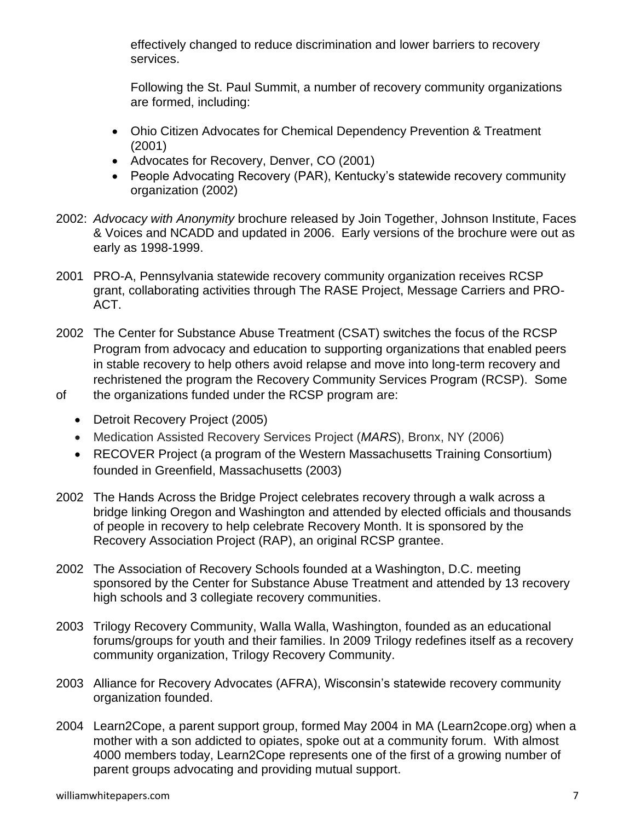effectively changed to reduce discrimination and lower barriers to recovery services.

Following the St. Paul Summit, a number of recovery community organizations are formed, including:

- Ohio Citizen Advocates for Chemical Dependency Prevention & Treatment (2001)
- Advocates for Recovery, Denver, CO (2001)
- People Advocating Recovery (PAR), Kentucky's statewide recovery community organization (2002)
- 2002: *Advocacy with Anonymity* brochure released by Join Together, Johnson Institute, Faces & Voices and NCADD and updated in 2006. Early versions of the brochure were out as early as 1998-1999.
- 2001 PRO-A, Pennsylvania statewide recovery community organization receives RCSP grant, collaborating activities through The RASE Project, Message Carriers and PRO-ACT.
- 2002 The Center for Substance Abuse Treatment (CSAT) switches the focus of the RCSP Program from advocacy and education to supporting organizations that enabled peers in stable recovery to help others avoid relapse and move into long-term recovery and rechristened the program the Recovery Community Services Program (RCSP). Some
- of the organizations funded under the RCSP program are:
	- Detroit Recovery Project (2005)
	- Medication Assisted Recovery Services Project (*MARS*), Bronx, NY (2006)
	- RECOVER Project (a program of the Western Massachusetts Training Consortium) founded in Greenfield, Massachusetts (2003)
- 2002 The Hands Across the Bridge Project celebrates recovery through a walk across a bridge linking Oregon and Washington and attended by elected officials and thousands of people in recovery to help celebrate Recovery Month. It is sponsored by the Recovery Association Project (RAP), an original RCSP grantee.
- 2002 The Association of Recovery Schools founded at a Washington, D.C. meeting sponsored by the Center for Substance Abuse Treatment and attended by 13 recovery high schools and 3 collegiate recovery communities.
- 2003 Trilogy Recovery Community, Walla Walla, Washington, founded as an educational forums/groups for youth and their families. In 2009 Trilogy redefines itself as a recovery community organization, Trilogy Recovery Community.
- 2003 Alliance for Recovery Advocates (AFRA), Wisconsin's statewide recovery community organization founded.
- 2004 Learn2Cope, a parent support group, formed May 2004 in MA (Learn2cope.org) when a mother with a son addicted to opiates, spoke out at a community forum. With almost 4000 members today, Learn2Cope represents one of the first of a growing number of parent groups advocating and providing mutual support.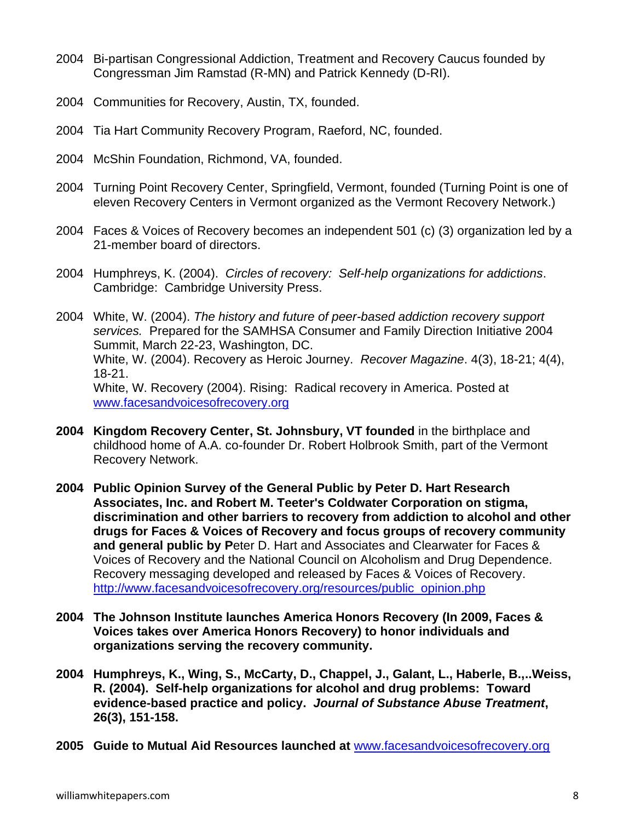- 2004 Bi-partisan Congressional Addiction, Treatment and Recovery Caucus founded by Congressman Jim Ramstad (R-MN) and Patrick Kennedy (D-RI).
- 2004 Communities for Recovery, Austin, TX, founded.
- 2004 Tia Hart Community Recovery Program, Raeford, NC, founded.
- 2004 McShin Foundation, Richmond, VA, founded.
- 2004 Turning Point Recovery Center, Springfield, Vermont, founded (Turning Point is one of eleven Recovery Centers in Vermont organized as the Vermont Recovery Network.)
- 2004 Faces & Voices of Recovery becomes an independent 501 (c) (3) organization led by a 21-member board of directors.
- 2004 Humphreys, K. (2004). *Circles of recovery: Self-help organizations for addictions*. Cambridge: Cambridge University Press.
- 2004 White, W. (2004). *The history and future of peer-based addiction recovery support services.* Prepared for the SAMHSA Consumer and Family Direction Initiative 2004 Summit, March 22-23, Washington, DC. White, W. (2004). Recovery as Heroic Journey. *Recover Magazine*. 4(3), 18-21; 4(4), 18-21. White, W. Recovery (2004). Rising: Radical recovery in America. Posted at www.facesandvoicesofrecovery.org
- **2004 Kingdom Recovery Center, St. Johnsbury, VT founded** in the birthplace and childhood home of A.A. co-founder Dr. Robert Holbrook Smith, part of the Vermont Recovery Network.
- **2004 Public Opinion Survey of the General Public by Peter D. Hart Research Associates, Inc. and Robert M. Teeter's Coldwater Corporation on stigma, discrimination and other barriers to recovery from addiction to alcohol and other drugs for Faces & Voices of Recovery and focus groups of recovery community and general public by P**eter D. Hart and Associates and Clearwater for Faces & Voices of Recovery and the National Council on Alcoholism and Drug Dependence. Recovery messaging developed and released by Faces & Voices of Recovery. [http://www.facesandvoicesofrecovery.org/resources/public\\_opinion.php](http://www.facesandvoicesofrecovery.org/resources/public_opinion.php)
- **2004 The Johnson Institute launches America Honors Recovery (In 2009, Faces & Voices takes over America Honors Recovery) to honor individuals and organizations serving the recovery community.**
- **2004 Humphreys, K., Wing, S., McCarty, D., Chappel, J., Galant, L., Haberle, B.,..Weiss, R. (2004). Self-help organizations for alcohol and drug problems: Toward evidence-based practice and policy.** *Journal of Substance Abuse Treatment***, 26(3), 151-158.**
- **2005 Guide to Mutual Aid Resources launched at** [www.facesandvoicesofrecovery.org](http://www.facesandvoicesofrecovery.org/)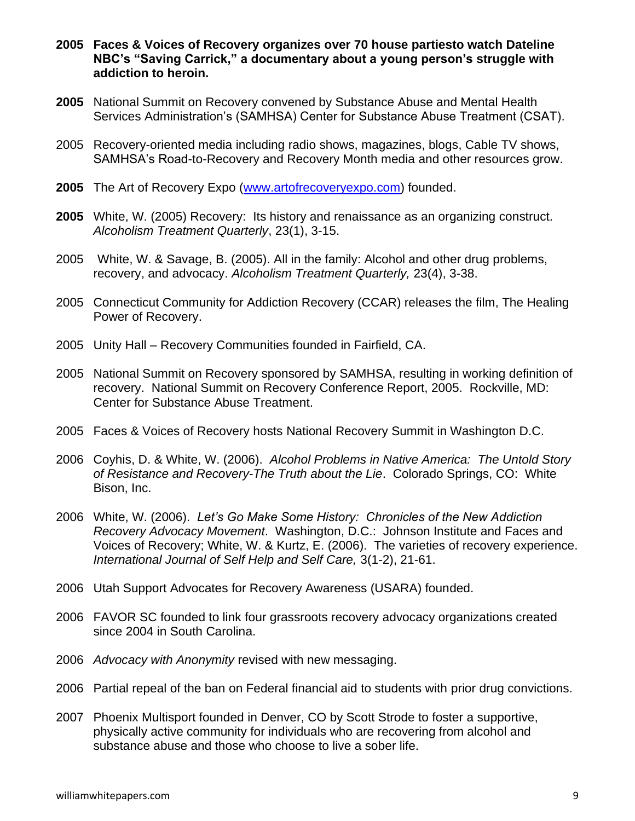- **2005 Faces & Voices of Recovery organizes over 70 house partiesto watch Dateline NBC's "Saving Carrick," a documentary about a young person's struggle with addiction to heroin.**
- **2005** National Summit on Recovery convened by Substance Abuse and Mental Health Services Administration's (SAMHSA) Center for Substance Abuse Treatment (CSAT).
- 2005 Recovery-oriented media including radio shows, magazines, blogs, Cable TV shows, SAMHSA's Road-to-Recovery and Recovery Month media and other resources grow.
- 2005 The Art of Recovery Expo [\(www.artofrecoveryexpo.com\)](http://www.artofrecoveryexpo.com/) founded.
- **2005** White, W. (2005) Recovery: Its history and renaissance as an organizing construct. *Alcoholism Treatment Quarterly*, 23(1), 3-15.
- 2005 White, W. & Savage, B. (2005). All in the family: Alcohol and other drug problems, recovery, and advocacy. *Alcoholism Treatment Quarterly,* 23(4), 3-38.
- 2005 Connecticut Community for Addiction Recovery (CCAR) releases the film, The Healing Power of Recovery.
- 2005 Unity Hall Recovery Communities founded in Fairfield, CA.
- 2005 National Summit on Recovery sponsored by SAMHSA, resulting in working definition of recovery. National Summit on Recovery Conference Report, 2005. Rockville, MD: Center for Substance Abuse Treatment.
- 2005 Faces & Voices of Recovery hosts National Recovery Summit in Washington D.C.
- 2006 Coyhis, D. & White, W. (2006). *Alcohol Problems in Native America: The Untold Story of Resistance and Recovery-The Truth about the Lie*. Colorado Springs, CO: White Bison, Inc.
- 2006 White, W. (2006). *Let's Go Make Some History: Chronicles of the New Addiction Recovery Advocacy Movement*. Washington, D.C.: Johnson Institute and Faces and Voices of Recovery; White, W. & Kurtz, E. (2006). The varieties of recovery experience. *International Journal of Self Help and Self Care,* 3(1-2), 21-61.
- 2006 Utah Support Advocates for Recovery Awareness (USARA) founded.
- 2006 FAVOR SC founded to link four grassroots recovery advocacy organizations created since 2004 in South Carolina.
- 2006 *Advocacy with Anonymity* revised with new messaging.
- 2006 Partial repeal of the ban on Federal financial aid to students with prior drug convictions.
- 2007 Phoenix Multisport founded in Denver, CO by Scott Strode to foster a supportive, physically active community for individuals who are recovering from alcohol and substance abuse and those who choose to live a sober life.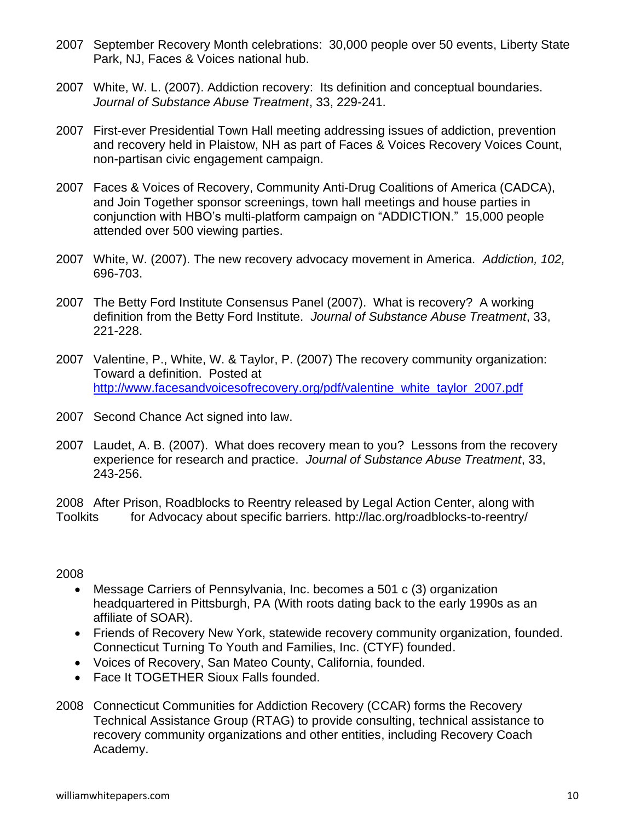- 2007 September Recovery Month celebrations: 30,000 people over 50 events, Liberty State Park, NJ, Faces & Voices national hub.
- 2007 White, W. L. (2007). Addiction recovery: Its definition and conceptual boundaries. *Journal of Substance Abuse Treatment*, 33, 229-241.
- 2007 First-ever Presidential Town Hall meeting addressing issues of addiction, prevention and recovery held in Plaistow, NH as part of Faces & Voices Recovery Voices Count, non-partisan civic engagement campaign.
- 2007 Faces & Voices of Recovery, Community Anti-Drug Coalitions of America (CADCA), and Join Together sponsor screenings, town hall meetings and house parties in conjunction with HBO's multi-platform campaign on "ADDICTION." 15,000 people attended over 500 viewing parties.
- 2007 White, W. (2007). The new recovery advocacy movement in America. *Addiction, 102,*  696-703.
- 2007 The Betty Ford Institute Consensus Panel (2007). What is recovery? A working definition from the Betty Ford Institute. *Journal of Substance Abuse Treatment*, 33, 221-228.
- 2007 Valentine, P., White, W. & Taylor, P. (2007) The recovery community organization: Toward a definition. Posted at [http://www.facesandvoicesofrecovery.org/pdf/valentine\\_white\\_taylor\\_2007.pdf](http://www.facesandvoicesofrecovery.org/pdf/valentine_white_taylor_2007.pdf)
- 2007 Second Chance Act signed into law.
- 2007 Laudet, A. B. (2007). What does recovery mean to you? Lessons from the recovery experience for research and practice. *Journal of Substance Abuse Treatment*, 33, 243-256.

2008 After Prison, Roadblocks to Reentry released by Legal Action Center, along with Toolkits for Advocacy about specific barriers. http://lac.org/roadblocks-to-reentry/

2008

- Message Carriers of Pennsylvania, Inc. becomes a 501 c (3) organization headquartered in Pittsburgh, PA (With roots dating back to the early 1990s as an affiliate of SOAR).
- Friends of Recovery New York, statewide recovery community organization, founded. Connecticut Turning To Youth and Families, Inc. (CTYF) founded.
- Voices of Recovery, San Mateo County, California, founded.
- Face It TOGETHER Sioux Falls founded.
- 2008 Connecticut Communities for Addiction Recovery (CCAR) forms the Recovery Technical Assistance Group (RTAG) to provide consulting, technical assistance to recovery community organizations and other entities, including Recovery Coach Academy.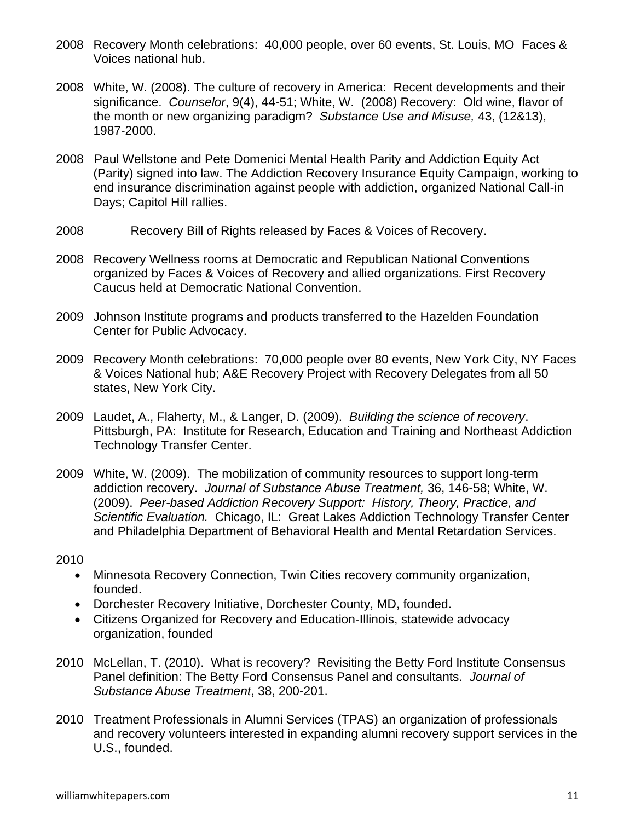- 2008 Recovery Month celebrations: 40,000 people, over 60 events, St. Louis, MO Faces & Voices national hub.
- 2008 White, W. (2008). The culture of recovery in America: Recent developments and their significance. *Counselor*, 9(4), 44-51; White, W. (2008) Recovery: Old wine, flavor of the month or new organizing paradigm? *Substance Use and Misuse,* 43, (12&13), 1987-2000.
- 2008 Paul Wellstone and Pete Domenici Mental Health Parity and Addiction Equity Act (Parity) signed into law. The Addiction Recovery Insurance Equity Campaign, working to end insurance discrimination against people with addiction, organized National Call-in Days; Capitol Hill rallies.
- 2008 Recovery Bill of Rights released by Faces & Voices of Recovery.
- 2008 Recovery Wellness rooms at Democratic and Republican National Conventions organized by Faces & Voices of Recovery and allied organizations. First Recovery Caucus held at Democratic National Convention.
- 2009 Johnson Institute programs and products transferred to the Hazelden Foundation Center for Public Advocacy.
- 2009 Recovery Month celebrations: 70,000 people over 80 events, New York City, NY Faces & Voices National hub; A&E Recovery Project with Recovery Delegates from all 50 states, New York City.
- 2009 Laudet, A., Flaherty, M., & Langer, D. (2009). *Building the science of recovery*. Pittsburgh, PA: Institute for Research, Education and Training and Northeast Addiction Technology Transfer Center.
- 2009 White, W. (2009). The mobilization of community resources to support long-term addiction recovery. *Journal of Substance Abuse Treatment,* 36, 146-58; White, W. (2009). *Peer-based Addiction Recovery Support: History, Theory, Practice, and Scientific Evaluation.* Chicago, IL: Great Lakes Addiction Technology Transfer Center and Philadelphia Department of Behavioral Health and Mental Retardation Services.

2010

- Minnesota Recovery Connection, Twin Cities recovery community organization, founded.
- Dorchester Recovery Initiative, Dorchester County, MD, founded.
- Citizens Organized for Recovery and Education-Illinois, statewide advocacy organization, founded
- 2010 McLellan, T. (2010). What is recovery? Revisiting the Betty Ford Institute Consensus Panel definition: The Betty Ford Consensus Panel and consultants. *Journal of Substance Abuse Treatment*, 38, 200-201.
- 2010 Treatment Professionals in Alumni Services (TPAS) an organization of professionals and recovery volunteers interested in expanding alumni recovery support services in the U.S., founded.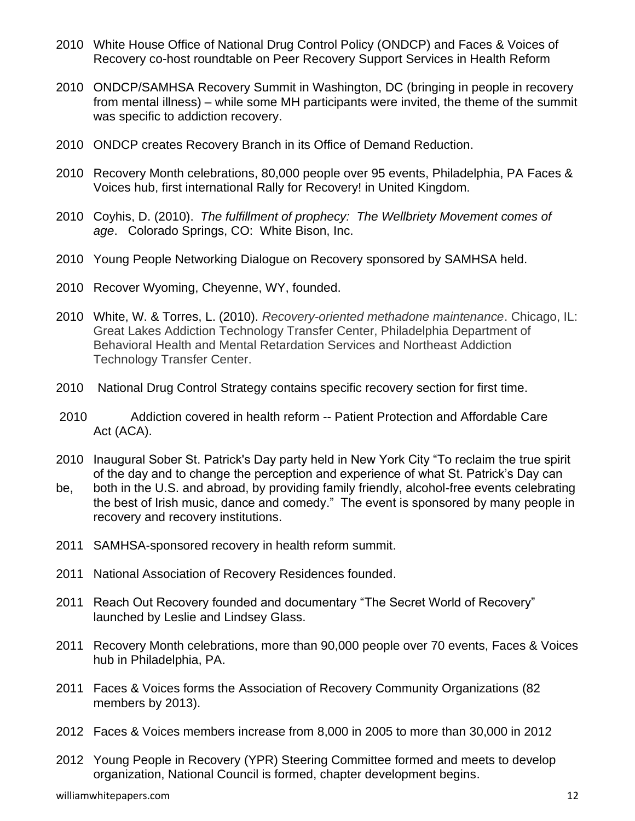- 2010 White House Office of National Drug Control Policy (ONDCP) and Faces & Voices of Recovery co-host roundtable on Peer Recovery Support Services in Health Reform
- 2010 ONDCP/SAMHSA Recovery Summit in Washington, DC (bringing in people in recovery from mental illness) – while some MH participants were invited, the theme of the summit was specific to addiction recovery.
- 2010 ONDCP creates Recovery Branch in its Office of Demand Reduction.
- 2010 Recovery Month celebrations, 80,000 people over 95 events, Philadelphia, PA Faces & Voices hub, first international Rally for Recovery! in United Kingdom.
- 2010 Coyhis, D. (2010). *The fulfillment of prophecy: The Wellbriety Movement comes of age*. Colorado Springs, CO: White Bison, Inc.
- 2010 Young People Networking Dialogue on Recovery sponsored by SAMHSA held.
- 2010 Recover Wyoming, Cheyenne, WY, founded.
- 2010 White, W. & Torres, L. (2010). *Recovery-oriented methadone maintenance*. Chicago, IL: Great Lakes Addiction Technology Transfer Center, Philadelphia Department of Behavioral Health and Mental Retardation Services and Northeast Addiction Technology Transfer Center.
- 2010 National Drug Control Strategy contains specific recovery section for first time.
- 2010 Addiction covered in health reform -- Patient Protection and Affordable Care Act (ACA).
- 2010 Inaugural Sober St. Patrick's Day party held in New York City "To reclaim the true spirit of the day and to change the perception and experience of what St. Patrick's Day can
- be, both in the U.S. and abroad, by providing family friendly, alcohol-free events celebrating the best of Irish music, dance and comedy." The event is sponsored by many people in recovery and recovery institutions.
- 2011 SAMHSA-sponsored recovery in health reform summit.
- 2011 National Association of Recovery Residences founded.
- 2011 Reach Out Recovery founded and documentary "The Secret World of Recovery" launched by Leslie and Lindsey Glass.
- 2011 Recovery Month celebrations, more than 90,000 people over 70 events, Faces & Voices hub in Philadelphia, PA.
- 2011 Faces & Voices forms the Association of Recovery Community Organizations (82 members by 2013).
- 2012 Faces & Voices members increase from 8,000 in 2005 to more than 30,000 in 2012
- 2012 Young People in Recovery (YPR) Steering Committee formed and meets to develop organization, National Council is formed, chapter development begins.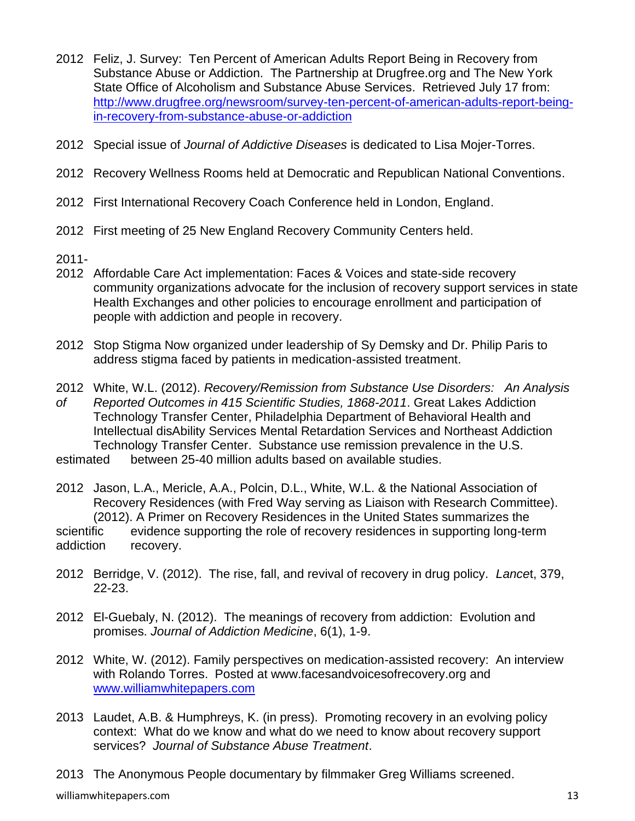- 2012 Feliz, J. Survey: Ten Percent of American Adults Report Being in Recovery from Substance Abuse or Addiction. The Partnership at Drugfree.org and The New York State Office of Alcoholism and Substance Abuse Services. Retrieved July 17 from: [http://www.drugfree.org/newsroom/survey-ten-percent-of-american-adults-report-being](http://www.drugfree.org/newsroom/survey-ten-percent-of-american-adults-report-being-in-recovery-from-substance-abuse-or-addiction)[in-recovery-from-substance-abuse-or-addiction](http://www.drugfree.org/newsroom/survey-ten-percent-of-american-adults-report-being-in-recovery-from-substance-abuse-or-addiction)
- 2012 Special issue of *Journal of Addictive Diseases* is dedicated to Lisa Mojer-Torres.
- 2012 Recovery Wellness Rooms held at Democratic and Republican National Conventions.
- 2012 First International Recovery Coach Conference held in London, England.
- 2012 First meeting of 25 New England Recovery Community Centers held.
- 2011-
- 2012 Affordable Care Act implementation: Faces & Voices and state-side recovery community organizations advocate for the inclusion of recovery support services in state Health Exchanges and other policies to encourage enrollment and participation of people with addiction and people in recovery.
- 2012 Stop Stigma Now organized under leadership of Sy Demsky and Dr. Philip Paris to address stigma faced by patients in medication-assisted treatment.
- 2012 White, W.L. (2012). *Recovery/Remission from Substance Use Disorders: An Analysis of Reported Outcomes in 415 Scientific Studies, 1868-2011*. Great Lakes Addiction Technology Transfer Center, Philadelphia Department of Behavioral Health and Intellectual disAbility Services Mental Retardation Services and Northeast Addiction Technology Transfer Center. Substance use remission prevalence in the U.S.

estimated between 25-40 million adults based on available studies.

- 2012 Jason, L.A., Mericle, A.A., Polcin, D.L., White, W.L. & the National Association of Recovery Residences (with Fred Way serving as Liaison with Research Committee). (2012). A Primer on Recovery Residences in the United States summarizes the scientific evidence supporting the role of recovery residences in supporting long-term addiction recovery.
- 2012 Berridge, V. (2012). The rise, fall, and revival of recovery in drug policy. *Lance*t, 379, 22-23.
- 2012 El-Guebaly, N. (2012). The meanings of recovery from addiction: Evolution and promises. *Journal of Addiction Medicine*, 6(1), 1-9.
- 2012 White, W. (2012). Family perspectives on medication-assisted recovery: An interview with Rolando Torres. Posted at www.facesandvoicesofrecovery.org and [www.williamwhitepapers.com](http://www.williamwhitepapers.com/)
- 2013 Laudet, A.B. & Humphreys, K. (in press). Promoting recovery in an evolving policy context: What do we know and what do we need to know about recovery support services? *Journal of Substance Abuse Treatment*.

2013 The Anonymous People documentary by filmmaker Greg Williams screened.